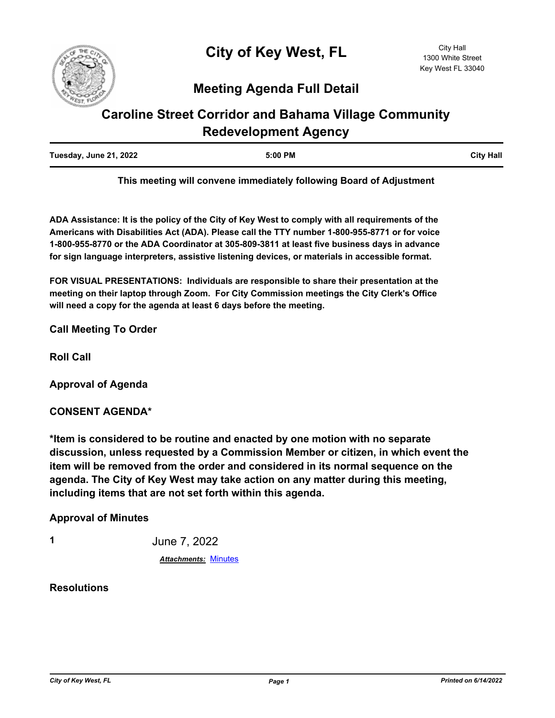

## **Meeting Agenda Full Detail**

# **Caroline Street Corridor and Bahama Village Community Redevelopment Agency**

| Tuesday, June 21, 2022 | 5:00 PM | <b>City Hall</b> |
|------------------------|---------|------------------|
|                        |         |                  |

**This meeting will convene immediately following Board of Adjustment**

**ADA Assistance: It is the policy of the City of Key West to comply with all requirements of the Americans with Disabilities Act (ADA). Please call the TTY number 1-800-955-8771 or for voice 1-800-955-8770 or the ADA Coordinator at 305-809-3811 at least five business days in advance for sign language interpreters, assistive listening devices, or materials in accessible format.**

**FOR VISUAL PRESENTATIONS: Individuals are responsible to share their presentation at the meeting on their laptop through Zoom. For City Commission meetings the City Clerk's Office will need a copy for the agenda at least 6 days before the meeting.**

**Call Meeting To Order**

**Roll Call**

**Approval of Agenda**

### **CONSENT AGENDA\***

**\*Item is considered to be routine and enacted by one motion with no separate discussion, unless requested by a Commission Member or citizen, in which event the item will be removed from the order and considered in its normal sequence on the agenda. The City of Key West may take action on any matter during this meeting, including items that are not set forth within this agenda.**

**Approval of Minutes**

**1** June 7, 2022

*Attachments:* [Minutes](http://KeyWest.legistar.com/gateway.aspx?M=F&ID=a212be60-5d90-4ad0-a09b-4f01febe70ac.pdf)

**Resolutions**